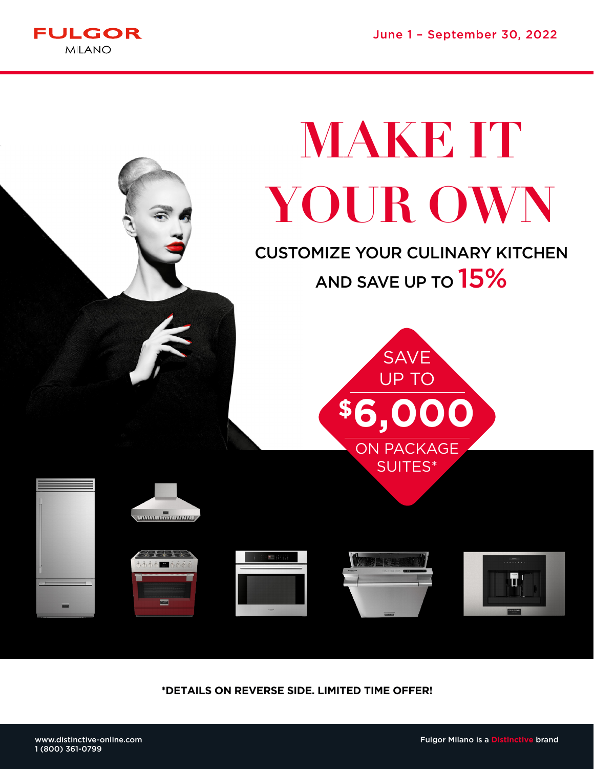June 1 – September 30, 2022



# **MAKE IT YOUR OWN**

CUSTOMIZE YOUR CULINARY KITCHEN AND SAVE UP TO **15%** 













**\*DETAILS ON REVERSE SIDE. LIMITED TIME OFFER!**